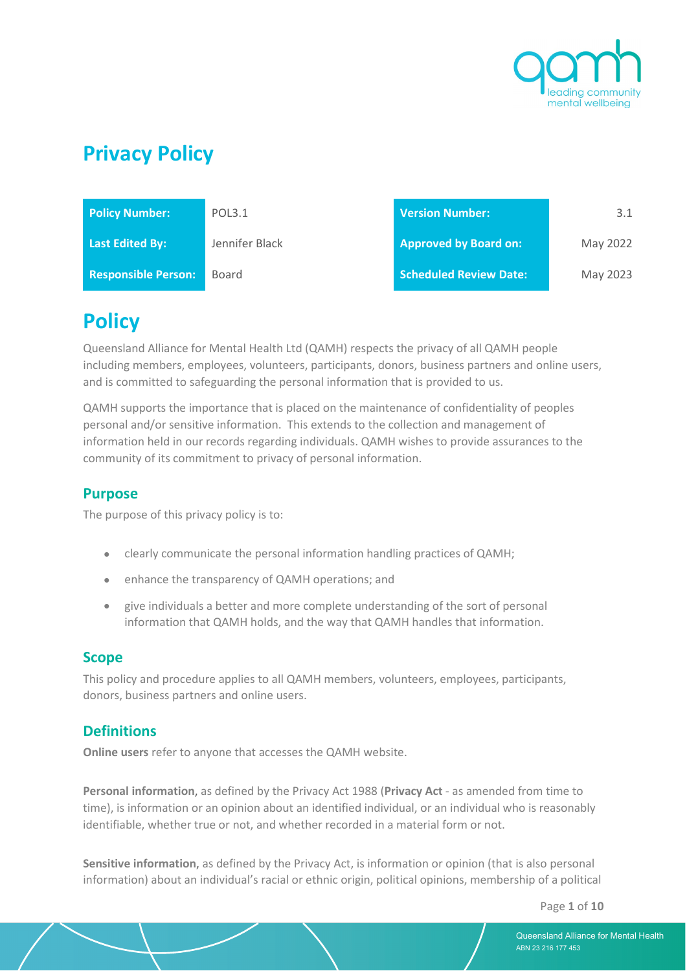

# **Privacy Policy**

| <b>Policy Number:</b>      | POL3.1         | Version Number:               | 3.1      |
|----------------------------|----------------|-------------------------------|----------|
| <b>Last Edited By:</b>     | Jennifer Black | <b>Approved by Board on:</b>  | May 2022 |
| <b>Responsible Person:</b> | Board          | <b>Scheduled Review Date:</b> | May 2023 |

# **Policy**

Queensland Alliance for Mental Health Ltd (QAMH) respects the privacy of all QAMH people including members, employees, volunteers, participants, donors, business partners and online users, and is committed to safeguarding the personal information that is provided to us.

QAMH supports the importance that is placed on the maintenance of confidentiality of peoples personal and/or sensitive information. This extends to the collection and management of information held in our records regarding individuals. QAMH wishes to provide assurances to the community of its commitment to privacy of personal information.

## **Purpose**

The purpose of this privacy policy is to:

- clearly communicate the personal information handling practices of QAMH;
- enhance the transparency of QAMH operations; and
- give individuals a better and more complete understanding of the sort of personal information that QAMH holds, and the way that QAMH handles that information.

### **Scope**

This policy and procedure applies to all QAMH members, volunteers, employees, participants, donors, business partners and online users.

## **Definitions**

**Online users** refer to anyone that accesses the QAMH website.

**Personal information**, as defined by the Privacy Act 1988 (**Privacy Act** - as amended from time to time), is information or an opinion about an identified individual, or an individual who is reasonably identifiable, whether true or not, and whether recorded in a material form or not.

**Sensitive information**, as defined by the Privacy Act, is information or opinion (that is also personal information) about an individual's racial or ethnic origin, political opinions, membership of a political

Page **1** of **10**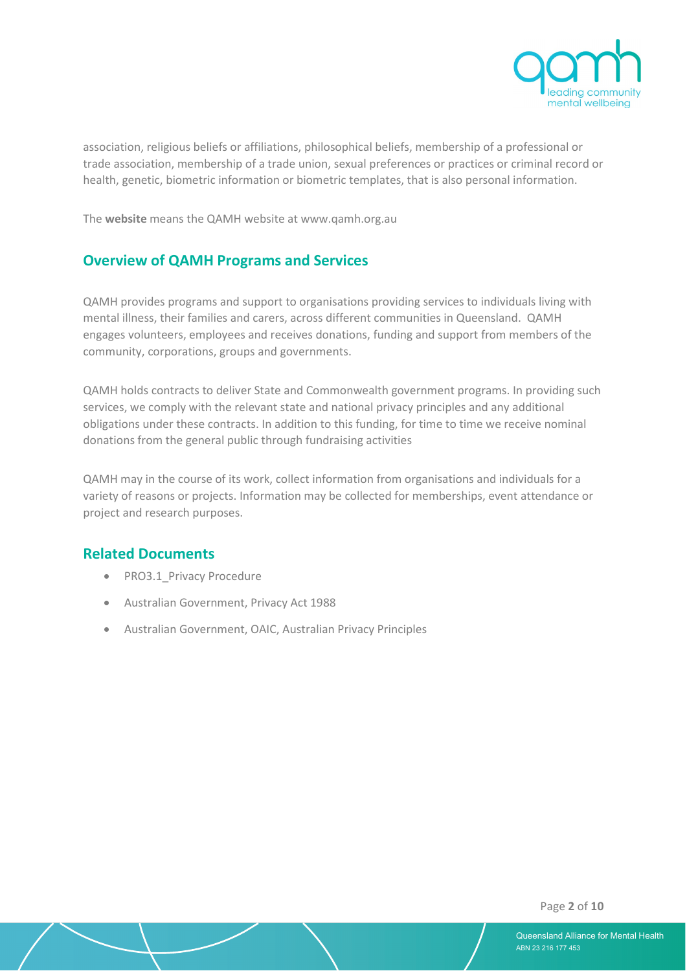

 association, religious beliefs or affiliations, philosophical beliefs, membership of a professional or trade association, membership of a trade union, sexual preferences or practices or criminal record or health, genetic, biometric information or biometric templates, that is also personal information.

The **website** means the QAMH website at www.qamh.org.au

## **Overview of QAMH Programs and Services**

QAMH provides programs and support to organisations providing services to individuals living with mental illness, their families and carers, across different communities in Queensland. QAMH engages volunteers, employees and receives donations, funding and support from members of the community, corporations, groups and governments.

QAMH holds contracts to deliver State and Commonwealth government programs. In providing such services, we comply with the relevant state and national privacy principles and any additional obligations under these contracts. In addition to this funding, for time to time we receive nominal donations from the general public through fundraising activities

QAMH may in the course of its work, collect information from organisations and individuals for a variety of reasons or projects. Information may be collected for memberships, event attendance or project and research purposes.

### **Related Documents**

- PRO3.1 Privacy Procedure
- Australian Government, Privacy Act 1988
- Australian Government, OAIC, Australian Privacy Principles

Page **2** of **10**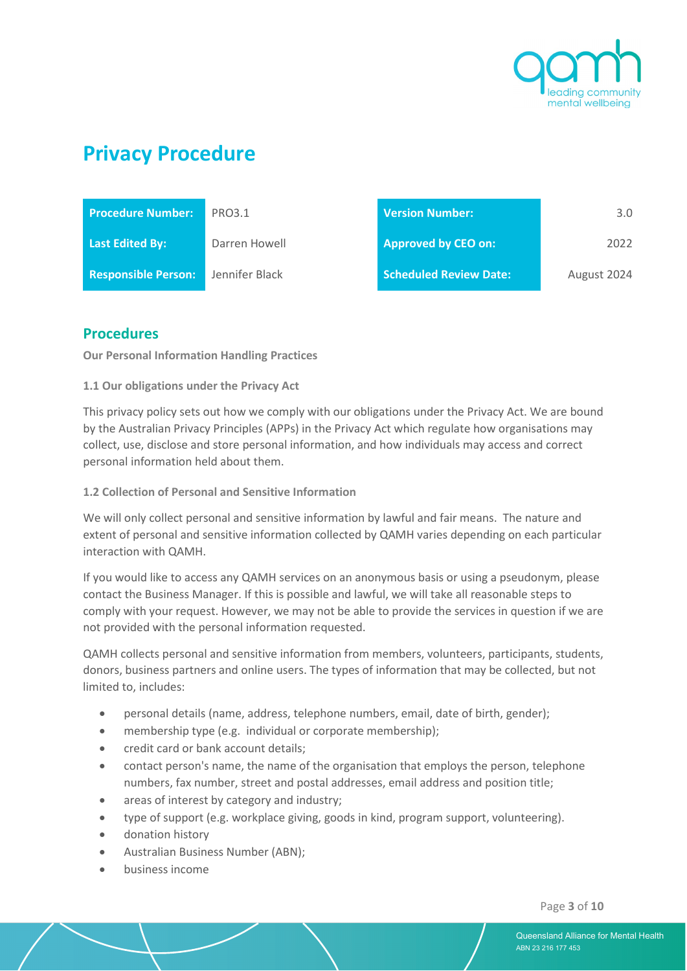

# **Privacy Procedure**

| <b>Procedure Number:</b>   | PRO3.1         | <b>Version Number:</b>        | $3.0^{\circ}$ |
|----------------------------|----------------|-------------------------------|---------------|
| Last Edited By:            | Darren Howell  | <b>Approved by CEO on:</b>    | 2022          |
| <b>Responsible Person:</b> | Jennifer Black | <b>Scheduled Review Date:</b> | August 2024   |

## **Procedures**

**Our Personal Information Handling Practices**

**1.1 Our obligations under the Privacy Act**

This privacy policy sets out how we comply with our obligations under the Privacy Act. We are bound by the Australian Privacy Principles (APPs) in the Privacy Act which regulate how organisations may collect, use, disclose and store personal information, and how individuals may access and correct personal information held about them.

#### **1.2 Collection of Personal and Sensitive Information**

We will only collect personal and sensitive information by lawful and fair means. The nature and extent of personal and sensitive information collected by QAMH varies depending on each particular interaction with QAMH.

If you would like to access any QAMH services on an anonymous basis or using a pseudonym, please contact the Business Manager. If this is possible and lawful, we will take all reasonable steps to comply with your request. However, we may not be able to provide the services in question if we are not provided with the personal information requested.

QAMH collects personal and sensitive information from members, volunteers, participants, students, donors, business partners and online users. The types of information that may be collected, but not limited to, includes:

- personal details (name, address, telephone numbers, email, date of birth, gender);
- membership type (e.g. individual or corporate membership);
- credit card or bank account details;
- contact person's name, the name of the organisation that employs the person, telephone numbers, fax number, street and postal addresses, email address and position title;
- areas of interest by category and industry;
- type of support (e.g. workplace giving, goods in kind, program support, volunteering).
- donation history
- Australian Business Number (ABN);
- business income

Page **3** of **10**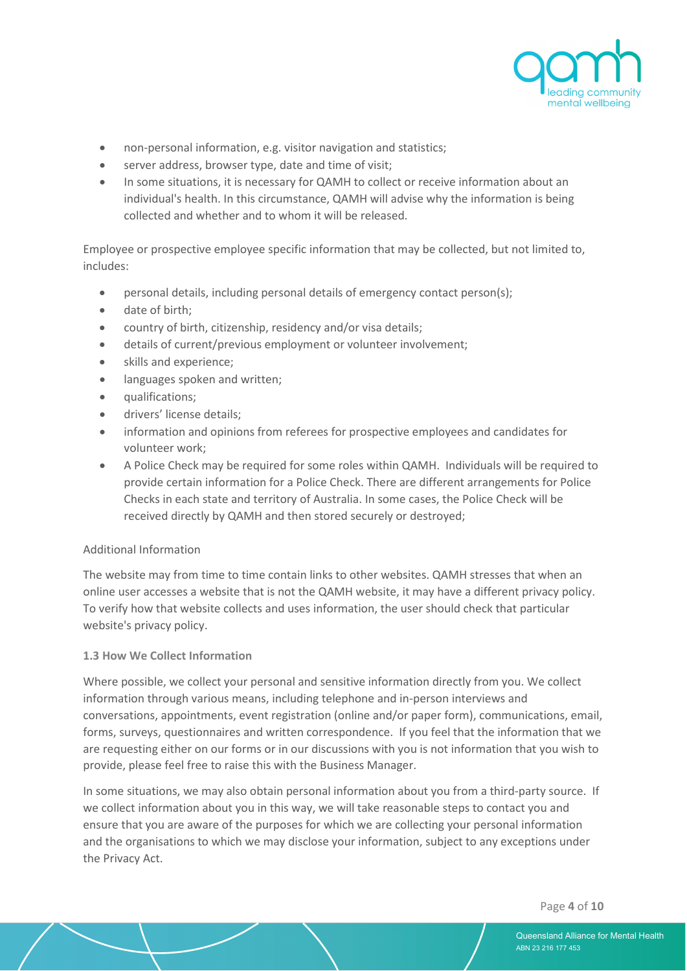

- non-personal information, e.g. visitor navigation and statistics;
- server address, browser type, date and time of visit;
- In some situations, it is necessary for QAMH to collect or receive information about an individual's health. In this circumstance, QAMH will advise why the information is being collected and whether and to whom it will be released.

Employee or prospective employee specific information that may be collected, but not limited to, includes:

- personal details, including personal details of emergency contact person(s);
- date of birth;
- country of birth, citizenship, residency and/or visa details;
- details of current/previous employment or volunteer involvement;
- skills and experience:
- languages spoken and written;
- qualifications;
- drivers' license details;
- information and opinions from referees for prospective employees and candidates for volunteer work;
- A Police Check may be required for some roles within QAMH. Individuals will be required to provide certain information for a Police Check. There are different arrangements for Police Checks in each state and territory of Australia. In some cases, the Police Check will be received directly by QAMH and then stored securely or destroyed;

#### Additional Information

The website may from time to time contain links to other websites. QAMH stresses that when an online user accesses a website that is not the QAMH website, it may have a different privacy policy. To verify how that website collects and uses information, the user should check that particular website's privacy policy.

#### **1.3 How We Collect Information**

Where possible, we collect your personal and sensitive information directly from you. We collect information through various means, including telephone and in-person interviews and conversations, appointments, event registration (online and/or paper form), communications, email, forms, surveys, questionnaires and written correspondence. If you feel that the information that we are requesting either on our forms or in our discussions with you is not information that you wish to provide, please feel free to raise this with the Business Manager.

In some situations, we may also obtain personal information about you from a third-party source. If we collect information about you in this way, we will take reasonable steps to contact you and ensure that you are aware of the purposes for which we are collecting your personal information and the organisations to which we may disclose your information, subject to any exceptions under the Privacy Act.

Page **4** of **10**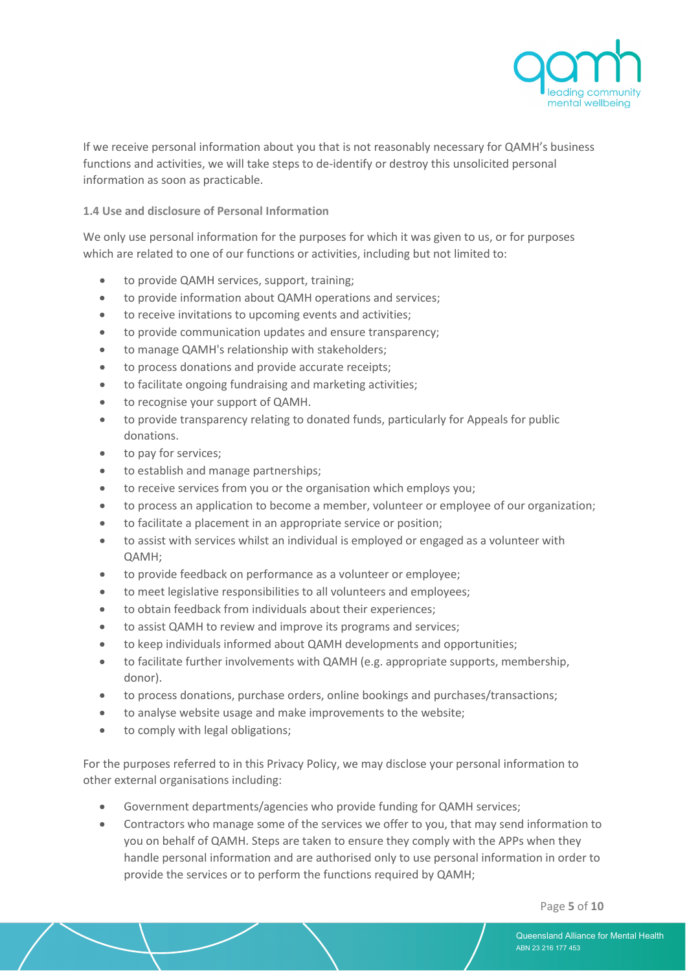

 If we receive personal information about you that is not reasonably necessary for QAMH's business functions and activities, we will take steps to de-identify or destroy this unsolicited personal information as soon as practicable.

**1.4 Use and disclosure of Personal Information**

We only use personal information for the purposes for which it was given to us, or for purposes which are related to one of our functions or activities, including but not limited to:

- to provide QAMH services, support, training;
- to provide information about QAMH operations and services;
- to receive invitations to upcoming events and activities;
- to provide communication updates and ensure transparency;
- to manage QAMH's relationship with stakeholders:
- to process donations and provide accurate receipts;
- to facilitate ongoing fundraising and marketing activities;
- to recognise your support of QAMH.
- to provide transparency relating to donated funds, particularly for Appeals for public donations.
- to pay for services:
- to establish and manage partnerships;
- to receive services from you or the organisation which employs you;
- to process an application to become a member, volunteer or employee of our organization;
- to facilitate a placement in an appropriate service or position;
- to assist with services whilst an individual is employed or engaged as a volunteer with QAMH;
- to provide feedback on performance as a volunteer or employee;
- to meet legislative responsibilities to all volunteers and employees;
- to obtain feedback from individuals about their experiences;
- to assist QAMH to review and improve its programs and services;
- to keep individuals informed about QAMH developments and opportunities;
- to facilitate further involvements with QAMH (e.g. appropriate supports, membership, donor).
- to process donations, purchase orders, online bookings and purchases/transactions;
- to analyse website usage and make improvements to the website;
- to comply with legal obligations;

For the purposes referred to in this Privacy Policy, we may disclose your personal information to other external organisations including:

- Government departments/agencies who provide funding for QAMH services;
- Contractors who manage some of the services we offer to you, that may send information to you on behalf of QAMH. Steps are taken to ensure they comply with the APPs when they handle personal information and are authorised only to use personal information in order to provide the services or to perform the functions required by QAMH;

Page **5** of **10**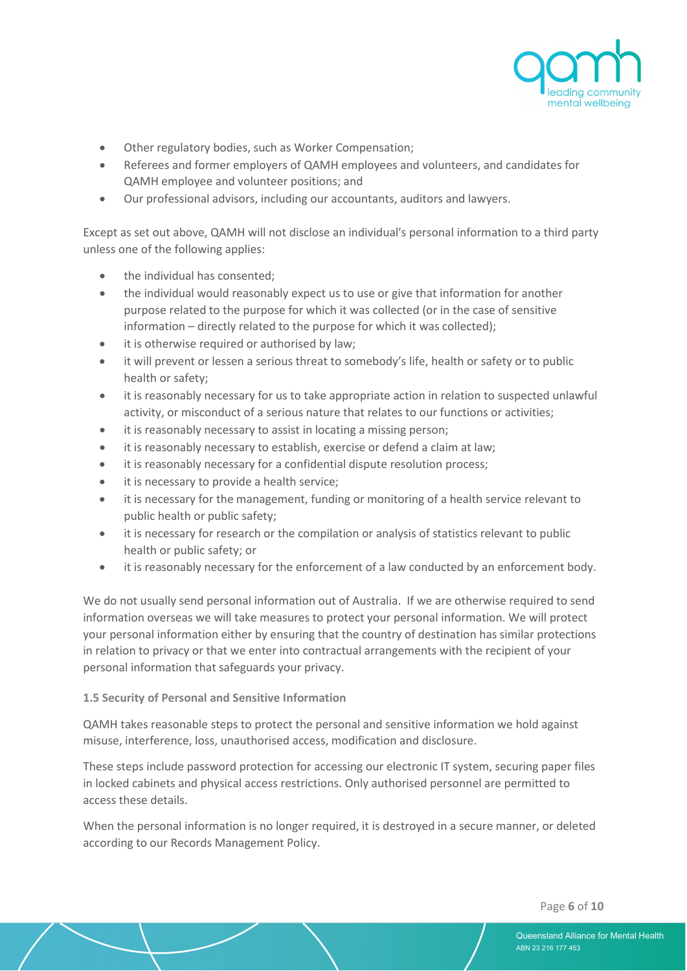

- Other regulatory bodies, such as Worker Compensation;
- Referees and former employers of QAMH employees and volunteers, and candidates for QAMH employee and volunteer positions; and
- Our professional advisors, including our accountants, auditors and lawyers.

Except as set out above, QAMH will not disclose an individual's personal information to a third party unless one of the following applies:

- the individual has consented:
- the individual would reasonably expect us to use or give that information for another purpose related to the purpose for which it was collected (or in the case of sensitive information – directly related to the purpose for which it was collected);
- it is otherwise required or authorised by law;
- it will prevent or lessen a serious threat to somebody's life, health or safety or to public health or safety;
- it is reasonably necessary for us to take appropriate action in relation to suspected unlawful activity, or misconduct of a serious nature that relates to our functions or activities;
- it is reasonably necessary to assist in locating a missing person;
- it is reasonably necessary to establish, exercise or defend a claim at law;
- it is reasonably necessary for a confidential dispute resolution process;
- it is necessary to provide a health service;
- it is necessary for the management, funding or monitoring of a health service relevant to public health or public safety;
- it is necessary for research or the compilation or analysis of statistics relevant to public health or public safety; or
- it is reasonably necessary for the enforcement of a law conducted by an enforcement body.

We do not usually send personal information out of Australia. If we are otherwise required to send information overseas we will take measures to protect your personal information. We will protect your personal information either by ensuring that the country of destination has similar protections in relation to privacy or that we enter into contractual arrangements with the recipient of your personal information that safeguards your privacy.

#### **1.5 Security of Personal and Sensitive Information**

QAMH takes reasonable steps to protect the personal and sensitive information we hold against misuse, interference, loss, unauthorised access, modification and disclosure.

These steps include password protection for accessing our electronic IT system, securing paper files in locked cabinets and physical access restrictions. Only authorised personnel are permitted to access these details.

When the personal information is no longer required, it is destroyed in a secure manner, or deleted according to our Records Management Policy.

Page **6** of **10**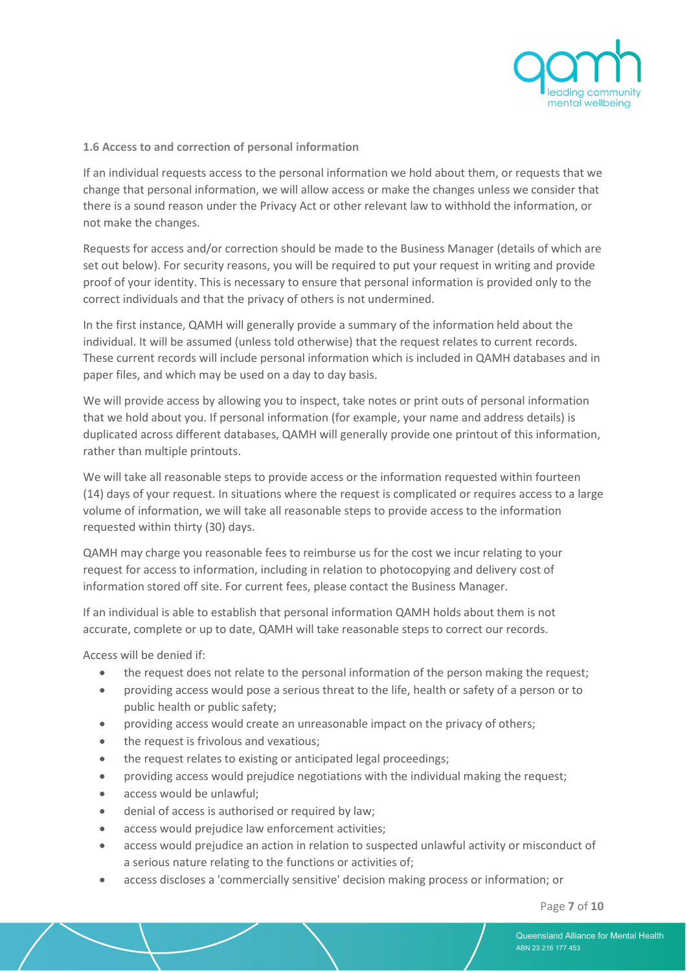

#### **1.6 Access to and correction of personal information**

If an individual requests access to the personal information we hold about them, or requests that we change that personal information, we will allow access or make the changes unless we consider that there is a sound reason under the Privacy Act or other relevant law to withhold the information, or not make the changes.

Requests for access and/or correction should be made to the Business Manager (details of which are set out below). For security reasons, you will be required to put your request in writing and provide proof of your identity. This is necessary to ensure that personal information is provided only to the correct individuals and that the privacy of others is not undermined.

In the first instance, QAMH will generally provide a summary of the information held about the individual. It will be assumed (unless told otherwise) that the request relates to current records. These current records will include personal information which is included in QAMH databases and in paper files, and which may be used on a day to day basis.

We will provide access by allowing you to inspect, take notes or print outs of personal information that we hold about you. If personal information (for example, your name and address details) is duplicated across different databases, QAMH will generally provide one printout of this information, rather than multiple printouts.

We will take all reasonable steps to provide access or the information requested within fourteen (14) days of your request. In situations where the request is complicated or requires access to a large volume of information, we will take all reasonable steps to provide access to the information requested within thirty (30) days.

QAMH may charge you reasonable fees to reimburse us for the cost we incur relating to your request for access to information, including in relation to photocopying and delivery cost of information stored off site. For current fees, please contact the Business Manager.

If an individual is able to establish that personal information QAMH holds about them is not accurate, complete or up to date, QAMH will take reasonable steps to correct our records.

Access will be denied if:

- the request does not relate to the personal information of the person making the request;
- providing access would pose a serious threat to the life, health or safety of a person or to public health or public safety;
- providing access would create an unreasonable impact on the privacy of others;
- the request is frivolous and vexatious:
- the request relates to existing or anticipated legal proceedings;
- providing access would prejudice negotiations with the individual making the request;
- access would be unlawful;
- denial of access is authorised or required by law;
- access would prejudice law enforcement activities;
- access would prejudice an action in relation to suspected unlawful activity or misconduct of a serious nature relating to the functions or activities of;
- access discloses a 'commercially sensitive' decision making process or information; or

Page **7** of **10**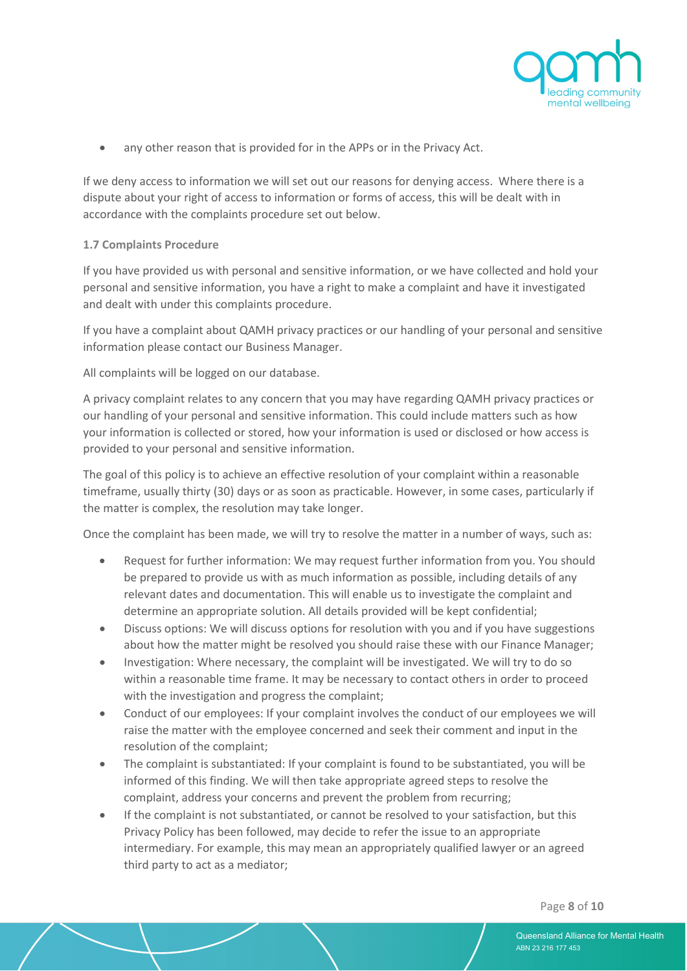

• any other reason that is provided for in the APPs or in the Privacy Act.

If we deny access to information we will set out our reasons for denying access. Where there is a dispute about your right of access to information or forms of access, this will be dealt with in accordance with the complaints procedure set out below.

#### **1.7 Complaints Procedure**

If you have provided us with personal and sensitive information, or we have collected and hold your personal and sensitive information, you have a right to make a complaint and have it investigated and dealt with under this complaints procedure.

If you have a complaint about QAMH privacy practices or our handling of your personal and sensitive information please contact our Business Manager.

All complaints will be logged on our database.

A privacy complaint relates to any concern that you may have regarding QAMH privacy practices or our handling of your personal and sensitive information. This could include matters such as how your information is collected or stored, how your information is used or disclosed or how access is provided to your personal and sensitive information.

The goal of this policy is to achieve an effective resolution of your complaint within a reasonable timeframe, usually thirty (30) days or as soon as practicable. However, in some cases, particularly if the matter is complex, the resolution may take longer.

Once the complaint has been made, we will try to resolve the matter in a number of ways, such as:

- Request for further information: We may request further information from you. You should be prepared to provide us with as much information as possible, including details of any relevant dates and documentation. This will enable us to investigate the complaint and determine an appropriate solution. All details provided will be kept confidential;
- Discuss options: We will discuss options for resolution with you and if you have suggestions about how the matter might be resolved you should raise these with our Finance Manager;
- Investigation: Where necessary, the complaint will be investigated. We will try to do so within a reasonable time frame. It may be necessary to contact others in order to proceed with the investigation and progress the complaint;
- Conduct of our employees: If your complaint involves the conduct of our employees we will raise the matter with the employee concerned and seek their comment and input in the resolution of the complaint;
- The complaint is substantiated: If your complaint is found to be substantiated, you will be informed of this finding. We will then take appropriate agreed steps to resolve the complaint, address your concerns and prevent the problem from recurring;
- If the complaint is not substantiated, or cannot be resolved to your satisfaction, but this Privacy Policy has been followed, may decide to refer the issue to an appropriate intermediary. For example, this may mean an appropriately qualified lawyer or an agreed third party to act as a mediator;

Page **8** of **10**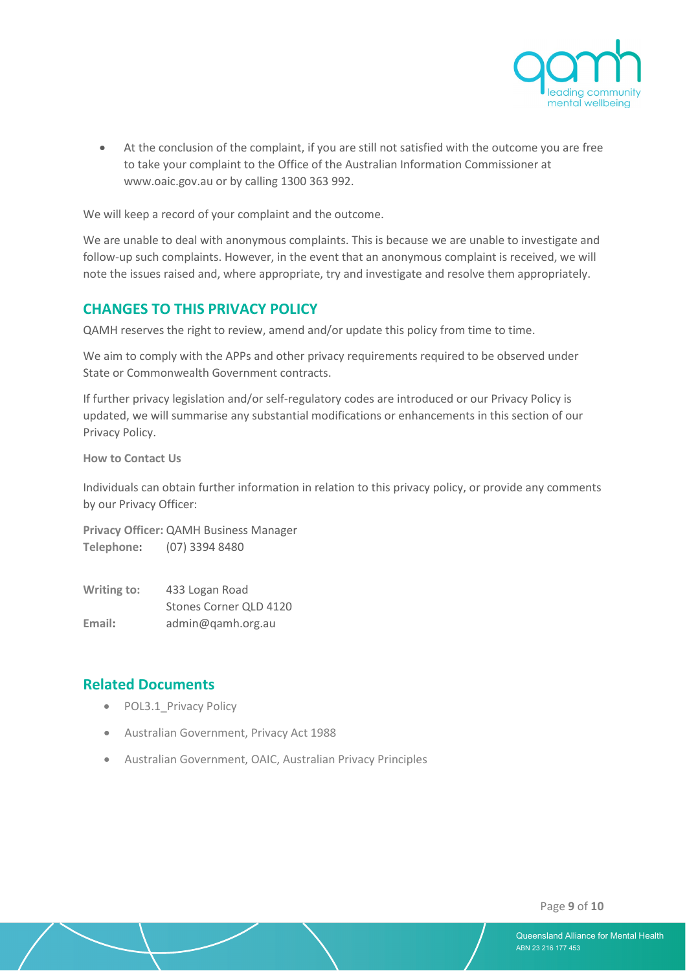

• At the conclusion of the complaint, if you are still not satisfied with the outcome you are free to take your complaint to the Office of the Australian Information Commissioner at [www.oaic.gov.au](http://www.oaic.gov.au/) or by calling 1300 363 992.

We will keep a record of your complaint and the outcome.

We are unable to deal with anonymous complaints. This is because we are unable to investigate and follow-up such complaints. However, in the event that an anonymous complaint is received, we will note the issues raised and, where appropriate, try and investigate and resolve them appropriately.

### **CHANGES TO THIS PRIVACY POLICY**

QAMH reserves the right to review, amend and/or update this policy from time to time.

We aim to comply with the APPs and other privacy requirements required to be observed under State or Commonwealth Government contracts.

If further privacy legislation and/or self-regulatory codes are introduced or our Privacy Policy is updated, we will summarise any substantial modifications or enhancements in this section of our Privacy Policy.

**How to Contact Us**

Individuals can obtain further information in relation to this privacy policy, or provide any comments by our Privacy Officer:

**Privacy Officer:** QAMH Business Manager **Telephone:** (07) 3394 8480

| Writing to: | 433 Logan Road         |
|-------------|------------------------|
|             | Stones Corner QLD 4120 |
| Email:      | admin@qamh.org.au      |

#### **Related Documents**

- POL3.1 Privacy Policy
- Australian Government, Privacy Act 1988
- Australian Government, OAIC, Australian Privacy Principles

Page **9** of **10**